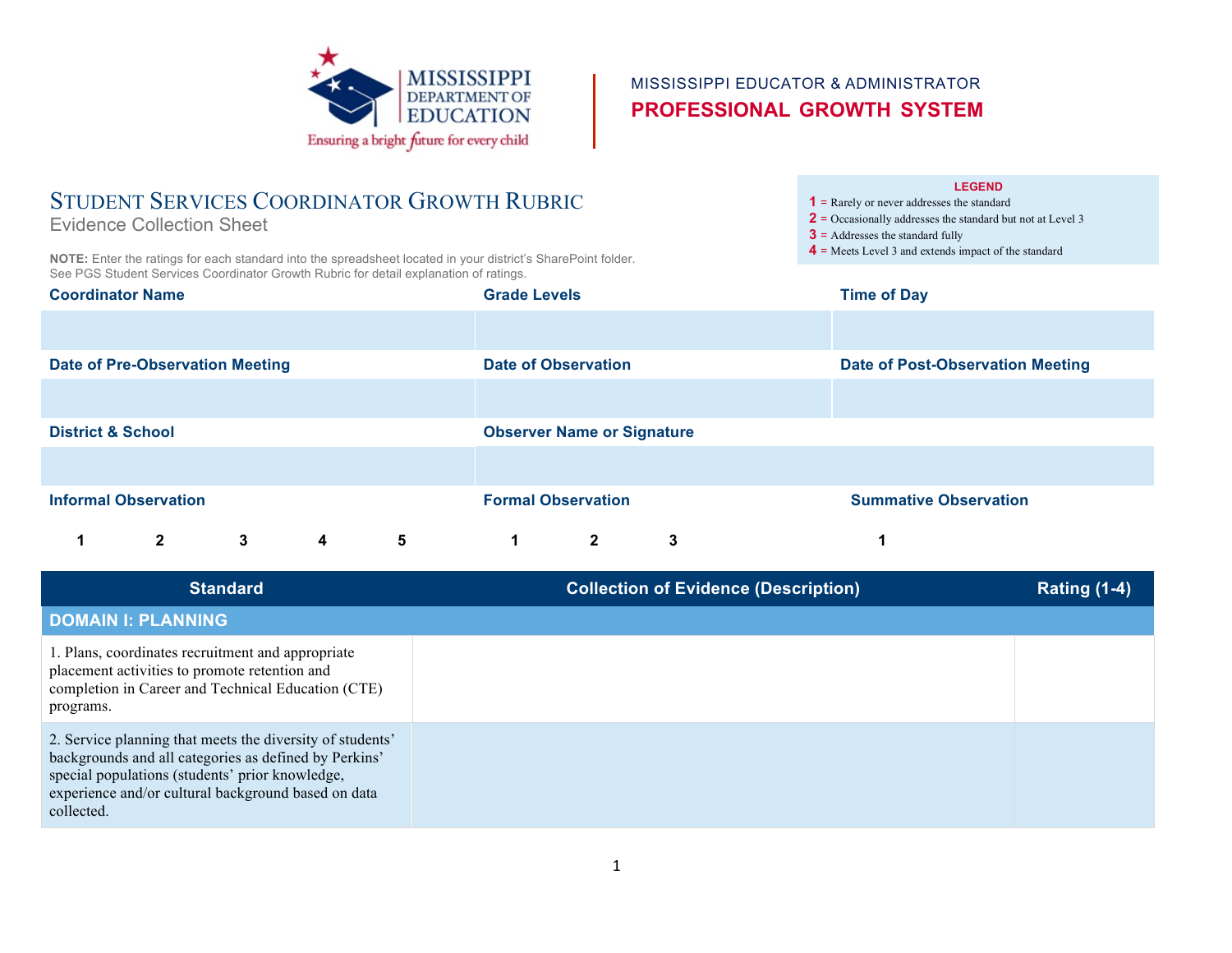

# MISSISSIPPI EDUCATOR & ADMINISTRATOR **PROFESSIONAL GROWTH SYSTEM**

# STUDENT SERVICES COORDINATOR GROWTH RUBRIC

Evidence Collection Sheet

**NOTE:** Enter the ratings for each standard into the spreadsheet located in your district's SharePoint folder. See PGS Student Services Coordinator Growth Rubric for detail explanation of ratings.

#### **LEGEND**

**1** = Rarely or never addresses the standard

- **2** = Occasionally addresses the standard but not at Level 3
- **3** = Addresses the standard fully
- **4** = Meets Level 3 and extends impact of the standard

| <b>Coordinator Name</b>                |              |   | <b>Grade Levels</b>     |                                   |                      | <b>Time of Day</b> |                                         |  |
|----------------------------------------|--------------|---|-------------------------|-----------------------------------|----------------------|--------------------|-----------------------------------------|--|
|                                        |              |   |                         |                                   |                      |                    |                                         |  |
| <b>Date of Pre-Observation Meeting</b> |              |   |                         | <b>Date of Observation</b>        |                      |                    | <b>Date of Post-Observation Meeting</b> |  |
|                                        |              |   |                         |                                   |                      |                    |                                         |  |
| <b>District &amp; School</b>           |              |   |                         | <b>Observer Name or Signature</b> |                      |                    |                                         |  |
|                                        |              |   |                         |                                   |                      |                    |                                         |  |
| <b>Informal Observation</b>            |              |   |                         | <b>Formal Observation</b>         |                      |                    | <b>Summative Observation</b>            |  |
| 1                                      | $\mathbf{2}$ | 3 | $\overline{\mathbf{4}}$ | 5                                 | $\blacktriangleleft$ | $\mathbf{2}$       | 3                                       |  |

| <b>Standard</b>                                                                                                                                                                                                                            | <b>Collection of Evidence (Description)</b> | <b>Rating (1-4)</b> |
|--------------------------------------------------------------------------------------------------------------------------------------------------------------------------------------------------------------------------------------------|---------------------------------------------|---------------------|
| <b>DOMAIN I: PLANNING</b>                                                                                                                                                                                                                  |                                             |                     |
| 1. Plans, coordinates recruitment and appropriate<br>placement activities to promote retention and<br>completion in Career and Technical Education (CTE)<br>programs.                                                                      |                                             |                     |
| 2. Service planning that meets the diversity of students'<br>backgrounds and all categories as defined by Perkins'<br>special populations (students' prior knowledge,<br>experience and/or cultural background based on data<br>collected. |                                             |                     |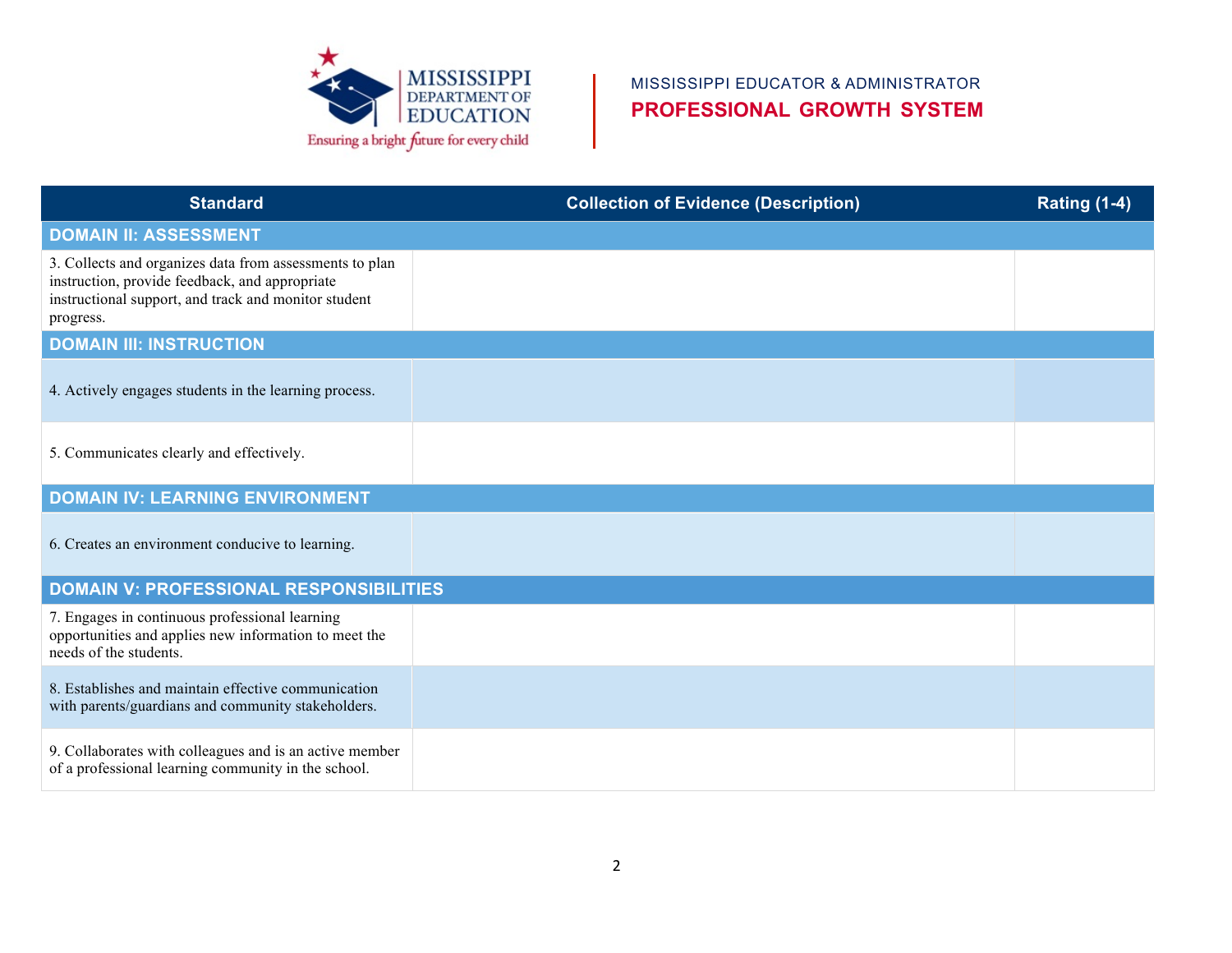

## MISSISSIPPI EDUCATOR & ADMINISTRATOR **PROFESSIONAL GROWTH SYSTEM**

| <b>Standard</b>                                                                                                                                                                | <b>Collection of Evidence (Description)</b> | <b>Rating (1-4)</b> |
|--------------------------------------------------------------------------------------------------------------------------------------------------------------------------------|---------------------------------------------|---------------------|
| <b>DOMAIN II: ASSESSMENT</b>                                                                                                                                                   |                                             |                     |
| 3. Collects and organizes data from assessments to plan<br>instruction, provide feedback, and appropriate<br>instructional support, and track and monitor student<br>progress. |                                             |                     |
| <b>DOMAIN III: INSTRUCTION</b>                                                                                                                                                 |                                             |                     |
| 4. Actively engages students in the learning process.                                                                                                                          |                                             |                     |
| 5. Communicates clearly and effectively.                                                                                                                                       |                                             |                     |
| <b>DOMAIN IV: LEARNING ENVIRONMENT</b>                                                                                                                                         |                                             |                     |
| 6. Creates an environment conducive to learning.                                                                                                                               |                                             |                     |
| <b>DOMAIN V: PROFESSIONAL RESPONSIBILITIES</b>                                                                                                                                 |                                             |                     |
| 7. Engages in continuous professional learning<br>opportunities and applies new information to meet the<br>needs of the students.                                              |                                             |                     |
| 8. Establishes and maintain effective communication<br>with parents/guardians and community stakeholders.                                                                      |                                             |                     |
| 9. Collaborates with colleagues and is an active member<br>of a professional learning community in the school.                                                                 |                                             |                     |